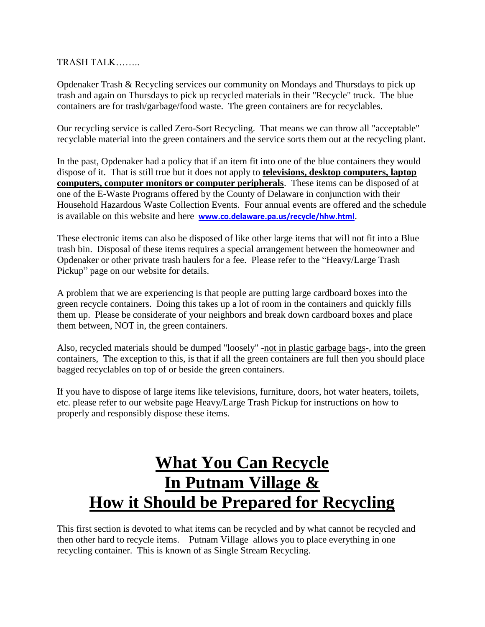TRASH TALK……..

Opdenaker Trash & Recycling services our community on Mondays and Thursdays to pick up trash and again on Thursdays to pick up recycled materials in their "Recycle" truck. The blue containers are for trash/garbage/food waste. The green containers are for recyclables.

Our recycling service is called Zero-Sort Recycling. That means we can throw all "acceptable" recyclable material into the green containers and the service sorts them out at the recycling plant.

In the past, Opdenaker had a policy that if an item fit into one of the blue containers they would dispose of it. That is still true but it does not apply to **televisions, desktop computers, laptop computers, computer monitors or computer peripherals**. These items can be disposed of at one of the E-Waste Programs offered by the County of Delaware in conjunction with their Household Hazardous Waste Collection Events. Four annual events are offered and the schedule is available on this website and here **[www.co.delaware.pa.us/recycle/hhw.html](http://www.co.delaware.pa.us/recycle/hhw.html)**.

These electronic items can also be disposed of like other large items that will not fit into a Blue trash bin. Disposal of these items requires a special arrangement between the homeowner and Opdenaker or other private trash haulers for a fee. Please refer to the "Heavy/Large Trash Pickup" page on our website for details.

A problem that we are experiencing is that people are putting large cardboard boxes into the green recycle containers. Doing this takes up a lot of room in the containers and quickly fills them up. Please be considerate of your neighbors and break down cardboard boxes and place them between, NOT in, the green containers.

Also, recycled materials should be dumped "loosely" -not in plastic garbage bags-, into the green containers, The exception to this, is that if all the green containers are full then you should place bagged recyclables on top of or beside the green containers.

If you have to dispose of large items like televisions, furniture, doors, hot water heaters, toilets, etc. please refer to our website page Heavy/Large Trash Pickup for instructions on how to properly and responsibly dispose these items.

# **What You Can Recycle In Putnam Village & How it Should be Prepared for Recycling**

This first section is devoted to what items can be recycled and by what cannot be recycled and then other hard to recycle items. Putnam Village allows you to place everything in one recycling container. This is known of as Single Stream Recycling.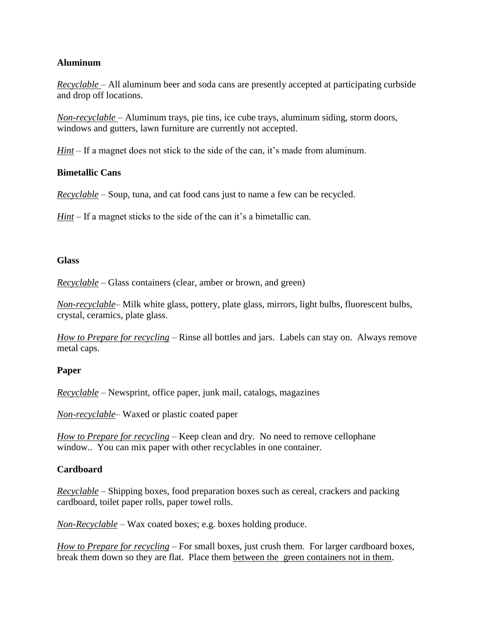## **Aluminum**

*Recyclable* – All aluminum beer and soda cans are presently accepted at participating curbside and drop off locations.

*Non-recyclable* – Aluminum trays, pie tins, ice cube trays, aluminum siding, storm doors, windows and gutters, lawn furniture are currently not accepted.

*Hint* – If a magnet does not stick to the side of the can, it's made from aluminum.

## **Bimetallic Cans**

*Recyclable* – Soup, tuna, and cat food cans just to name a few can be recycled.

*Hint* – If a magnet sticks to the side of the can it's a bimetallic can.

## **Glass**

*Recyclable* – Glass containers (clear, amber or brown, and green)

*Non-recyclable*– Milk white glass, pottery, plate glass, mirrors, light bulbs, fluorescent bulbs, crystal, ceramics, plate glass.

*How to Prepare for recycling* – Rinse all bottles and jars. Labels can stay on. Always remove metal caps.

# **Paper**

*Recyclable* – Newsprint, office paper, junk mail, catalogs, magazines

*Non-recyclable*– Waxed or plastic coated paper

*How to Prepare for recycling* – Keep clean and dry. No need to remove cellophane window.. You can mix paper with other recyclables in one container.

# **Cardboard**

*Recyclable* – Shipping boxes, food preparation boxes such as cereal, crackers and packing cardboard, toilet paper rolls, paper towel rolls.

*Non-Recyclable* – Wax coated boxes; e.g. boxes holding produce.

*How to Prepare for recycling* – For small boxes, just crush them. For larger cardboard boxes, break them down so they are flat. Place them between the green containers not in them.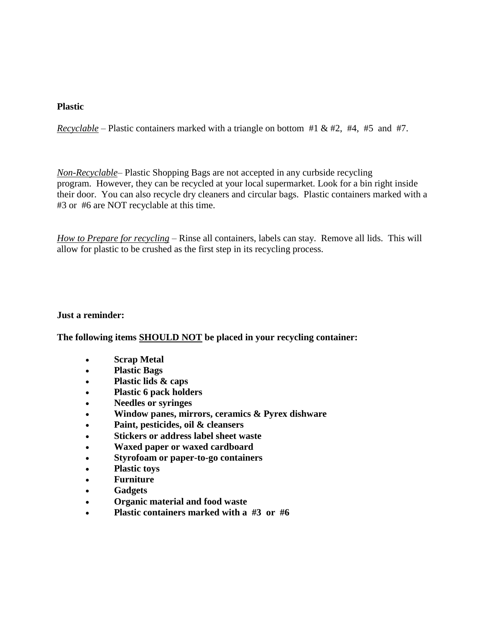## **Plastic**

*Recyclable* – Plastic containers marked with a triangle on bottom #1 & #2, #4, #5 and #7.

*Non-Recyclable*– Plastic Shopping Bags are not accepted in any curbside recycling program. However, they can be recycled at your local supermarket. Look for a bin right inside their door. You can also recycle dry cleaners and circular bags. Plastic containers marked with a #3 or #6 are NOT recyclable at this time.

*How to Prepare for recycling* – Rinse all containers, labels can stay. Remove all lids. This will allow for plastic to be crushed as the first step in its recycling process.

## **Just a reminder:**

**The following items SHOULD NOT be placed in your recycling container:**

- **Scrap Metal**
- **Plastic Bags**
- **Plastic lids & caps**
- **Plastic 6 pack holders**
- **Needles or syringes**
- **Window panes, mirrors, ceramics & Pyrex dishware**
- **Paint, pesticides, oil & cleansers**
- **Stickers or address label sheet waste**
- **Waxed paper or waxed cardboard**
- **Styrofoam or paper-to-go containers**
- **Plastic toys**
- **Furniture**
- **Gadgets**
- **Organic material and food waste**
- **Plastic containers marked with a #3 or #6**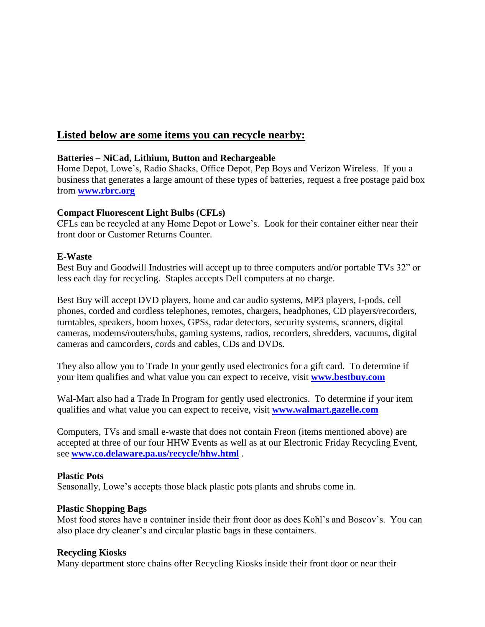# **Listed below are some items you can recycle nearby:**

## **Batteries – NiCad, Lithium, Button and Rechargeable**

Home Depot, Lowe's, Radio Shacks, Office Depot, Pep Boys and Verizon Wireless. If you a business that generates a large amount of these types of batteries, request a free postage paid box from **[www.rbrc.org](http://www.rbrc.org/)**

## **Compact Fluorescent Light Bulbs (CFLs)**

CFLs can be recycled at any Home Depot or Lowe's. Look for their container either near their front door or Customer Returns Counter.

# **E-Waste**

Best Buy and Goodwill Industries will accept up to three computers and/or portable TVs 32" or less each day for recycling. Staples accepts Dell computers at no charge.

Best Buy will accept DVD players, home and car audio systems, MP3 players, I-pods, cell phones, corded and cordless telephones, remotes, chargers, headphones, CD players/recorders, turntables, speakers, boom boxes, GPSs, radar detectors, security systems, scanners, digital cameras, modems/routers/hubs, gaming systems, radios, recorders, shredders, vacuums, digital cameras and camcorders, cords and cables, CDs and DVDs.

They also allow you to Trade In your gently used electronics for a gift card. To determine if your item qualifies and what value you can expect to receive, visit **[www.bestbuy.com](http://www.bestbuy.com/)**

Wal-Mart also had a Trade In Program for gently used electronics. To determine if your item qualifies and what value you can expect to receive, visit **[www.walmart.gazelle.com](http://www.walmart.gazelle.com/)**

Computers, TVs and small e-waste that does not contain Freon (items mentioned above) are accepted at three of our four HHW Events as well as at our Electronic Friday Recycling Event, see **[www.co.delaware.pa.us/recycle/hhw.html](http://www.co.delaware.pa.us/recycle/hhw.html)** .

## **Plastic Pots**

Seasonally, Lowe's accepts those black plastic pots plants and shrubs come in.

# **Plastic Shopping Bags**

Most food stores have a container inside their front door as does Kohl's and Boscov's. You can also place dry cleaner's and circular plastic bags in these containers.

## **Recycling Kiosks**

Many department store chains offer Recycling Kiosks inside their front door or near their